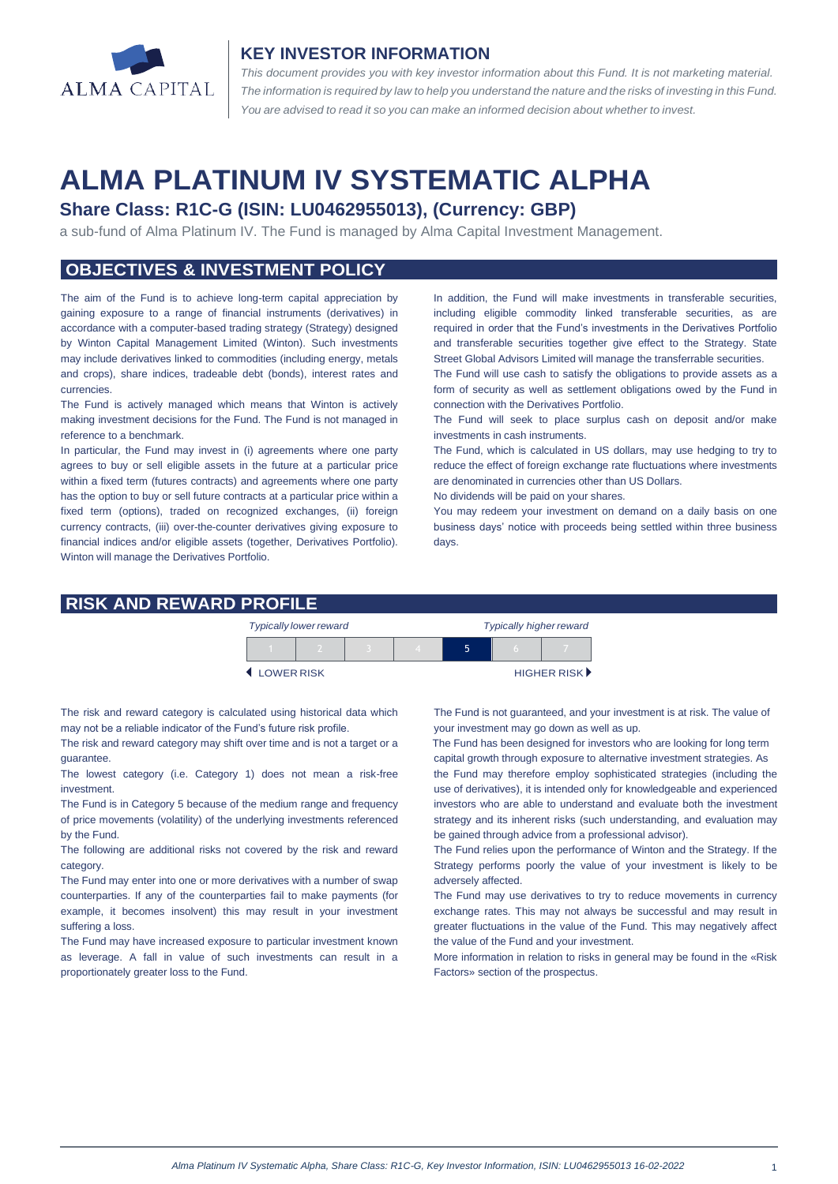

#### **KEY INVESTOR INFORMATION**

*This document provides you with key investor information about this Fund. It is not marketing material.*  The information is required by law to help you understand the nature and the risks of investing in this Fund. *You are advised to read it so you can make an informed decision about whether to invest.*

# **ALMA PLATINUM IV SYSTEMATIC ALPHA**

## **Share Class: R1C-G (ISIN: LU0462955013), (Currency: GBP)**

a sub-fund of Alma Platinum IV. The Fund is managed by Alma Capital Investment Management.

## **OBJECTIVES & INVESTMENT POLICY**

The aim of the Fund is to achieve long-term capital appreciation by gaining exposure to a range of financial instruments (derivatives) in accordance with a computer-based trading strategy (Strategy) designed by Winton Capital Management Limited (Winton). Such investments may include derivatives linked to commodities (including energy, metals and crops), share indices, tradeable debt (bonds), interest rates and currencies.

The Fund is actively managed which means that Winton is actively making investment decisions for the Fund. The Fund is not managed in reference to a benchmark.

In particular, the Fund may invest in (i) agreements where one party agrees to buy or sell eligible assets in the future at a particular price within a fixed term (futures contracts) and agreements where one party has the option to buy or sell future contracts at a particular price within a fixed term (options), traded on recognized exchanges, (ii) foreign currency contracts, (iii) over-the-counter derivatives giving exposure to financial indices and/or eligible assets (together, Derivatives Portfolio). Winton will manage the Derivatives Portfolio.

In addition, the Fund will make investments in transferable securities, including eligible commodity linked transferable securities, as are required in order that the Fund's investments in the Derivatives Portfolio and transferable securities together give effect to the Strategy. State Street Global Advisors Limited will manage the transferrable securities.

The Fund will use cash to satisfy the obligations to provide assets as a form of security as well as settlement obligations owed by the Fund in connection with the Derivatives Portfolio.

The Fund will seek to place surplus cash on deposit and/or make investments in cash instruments.

The Fund, which is calculated in US dollars, may use hedging to try to reduce the effect of foreign exchange rate fluctuations where investments are denominated in currencies other than US Dollars.

No dividends will be paid on your shares.

You may redeem your investment on demand on a daily basis on one business days' notice with proceeds being settled within three business days

#### **RISK AND REWARD PROFILE**

|            | <b>Typically lower reward</b> |  | <b>Typically higher reward</b> |  |  |                             |
|------------|-------------------------------|--|--------------------------------|--|--|-----------------------------|
|            |                               |  |                                |  |  |                             |
| LOWER RISK |                               |  |                                |  |  | HIGHER RISK <sup>&gt;</sup> |

The risk and reward category is calculated using historical data which may not be a reliable indicator of the Fund's future risk profile.

The risk and reward category may shift over time and is not a target or a guarantee.

The lowest category (i.e. Category 1) does not mean a risk-free investment.

The Fund is in Category 5 because of the medium range and frequency of price movements (volatility) of the underlying investments referenced by the Fund.

The following are additional risks not covered by the risk and reward category.

The Fund may enter into one or more derivatives with a number of swap counterparties. If any of the counterparties fail to make payments (for example, it becomes insolvent) this may result in your investment suffering a loss.

The Fund may have increased exposure to particular investment known as leverage. A fall in value of such investments can result in a proportionately greater loss to the Fund.

The Fund is not guaranteed, and your investment is at risk. The value of your investment may go down as well as up.

 The Fund has been designed for investors who are looking for long term capital growth through exposure to alternative investment strategies. As the Fund may therefore employ sophisticated strategies (including the

use of derivatives), it is intended only for knowledgeable and experienced investors who are able to understand and evaluate both the investment strategy and its inherent risks (such understanding, and evaluation may be gained through advice from a professional advisor).

The Fund relies upon the performance of Winton and the Strategy. If the Strategy performs poorly the value of your investment is likely to be adversely affected.

The Fund may use derivatives to try to reduce movements in currency exchange rates. This may not always be successful and may result in greater fluctuations in the value of the Fund. This may negatively affect the value of the Fund and your investment.

More information in relation to risks in general may be found in the «Risk Factors» section of the prospectus.